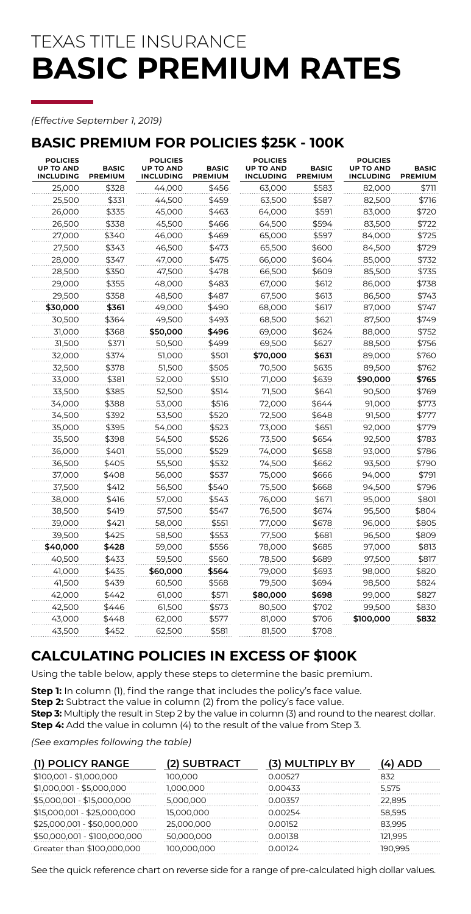# TEXAS TITLE INSURANCE **BASIC PREMIUM RATES**

#### *(Effective September 1, 2019)*

### **BASIC PREMIUM FOR POLICIES \$25K - 100K**

| <b>POLICIES</b><br><b>UP TO AND</b><br><b>INCLUDING</b> | <b>BASIC</b><br>PREMIUM | <b>POLICIES</b><br><b>UP TO AND</b><br><b>INCLUDING</b> | <b>BASIC</b><br>PREMIUM | <b>POLICIES</b><br><b>UP TO AND</b><br><b>INCLUDING</b> | <b>BASIC</b><br>PREMIUM | <b>POLICIES</b><br><b>UP TO AND</b><br><b>INCLUDING</b> | <b>BASIC</b><br><b>PREMIUM</b> |
|---------------------------------------------------------|-------------------------|---------------------------------------------------------|-------------------------|---------------------------------------------------------|-------------------------|---------------------------------------------------------|--------------------------------|
| 25,000                                                  | \$328                   | 44,000                                                  | \$456                   | 63,000                                                  | \$583                   | 82,000                                                  | \$711                          |
| 25,500                                                  | \$331                   | 44,500                                                  | \$459                   | 63,500                                                  | \$587                   | 82,500                                                  | \$716                          |
| 26,000                                                  | \$335                   | 45,000                                                  | \$463                   | 64,000                                                  | \$591                   | 83,000                                                  | \$720                          |
| 26,500                                                  | \$338                   | 45,500                                                  | \$466                   | 64,500                                                  | \$594                   | 83,500                                                  | \$722                          |
| 27,000                                                  | \$340                   | 46,000                                                  | \$469                   | 65,000                                                  | \$597                   | 84,000                                                  | \$725                          |
| 27,500                                                  | \$343                   | 46,500                                                  | \$473                   | 65,500                                                  | \$600                   | 84,500                                                  | \$729                          |
| 28,000                                                  | \$347                   | 47,000                                                  | \$475                   | 66,000                                                  | \$604                   | 85,000                                                  | \$732                          |
| 28,500                                                  | \$350                   | 47,500                                                  | \$478                   | 66,500                                                  | \$609                   | 85,500                                                  | \$735                          |
| 29,000                                                  | \$355                   | 48,000                                                  | \$483                   | 67,000                                                  | \$612                   | 86,000                                                  | \$738                          |
| 29,500                                                  | \$358                   | 48,500                                                  | \$487                   | 67,500                                                  | \$613                   | 86,500                                                  | \$743                          |
| \$30,000                                                | \$361                   | 49,000                                                  | \$490                   | 68,000                                                  | \$617                   | 87,000                                                  | \$747                          |
| 30,500                                                  | \$364                   | 49,500                                                  | \$493                   | 68,500                                                  | \$621                   | 87,500                                                  | \$749                          |
| 31,000                                                  | \$368                   | \$50,000                                                | \$496                   | 69,000                                                  | \$624                   | 88,000                                                  | \$752                          |
| 31,500                                                  | \$371                   | 50,500                                                  | \$499                   | 69,500                                                  | \$627                   | 88,500                                                  | \$756                          |
| 32,000                                                  | \$374                   | 51,000                                                  | \$501                   | \$70,000                                                | \$631                   | 89,000                                                  | \$760                          |
| 32,500                                                  | \$378                   | 51,500                                                  | \$505                   | 70,500                                                  | \$635                   | 89,500                                                  | \$762                          |
| 33,000                                                  | \$381                   | 52,000                                                  | \$510                   | 71,000                                                  | \$639                   | \$90,000                                                | \$765                          |
| 33,500                                                  | \$385                   | 52,500                                                  | \$514                   | 71,500                                                  | \$641                   | 90,500                                                  | \$769                          |
| 34,000                                                  | \$388                   | 53,000                                                  | \$516                   | 72,000                                                  | \$644                   | 91,000                                                  | \$773                          |
| 34.500                                                  | \$392                   | 53.500                                                  | \$520                   | 72,500                                                  | \$648                   | 91,500                                                  | \$777                          |
| 35,000                                                  | \$395                   | 54,000                                                  | \$523                   | 73,000                                                  | \$651                   | 92,000                                                  | \$779                          |
| 35,500                                                  | \$398                   | 54,500                                                  | \$526                   | 73,500                                                  | \$654                   | 92,500                                                  | \$783                          |
| 36,000                                                  | \$401                   | 55,000                                                  | \$529                   | 74,000                                                  | \$658                   | 93,000                                                  | \$786                          |
| 36,500                                                  | \$405                   | 55,500                                                  | \$532                   | 74,500                                                  | \$662                   | 93,500                                                  | \$790                          |
| 37,000                                                  | \$408                   | 56,000                                                  | \$537                   | 75,000                                                  | \$666                   | 94,000                                                  | \$791                          |
| 37,500                                                  | \$412                   | 56,500                                                  | \$540                   | 75,500                                                  | \$668                   | 94,500                                                  | \$796                          |
| 38,000                                                  | \$416                   | 57,000                                                  | \$543                   | 76,000                                                  | \$671                   | 95,000                                                  | \$801                          |
| 38,500                                                  | \$419                   | 57,500                                                  | \$547                   | 76,500                                                  | \$674                   | 95,500                                                  | \$804                          |
| 39,000                                                  | \$421                   | 58,000                                                  | \$551                   | 77,000                                                  | \$678                   | 96,000                                                  | \$805                          |
| 39,500                                                  | \$425                   | 58,500                                                  | \$553                   | 77,500                                                  | \$681                   | 96,500                                                  | \$809                          |
| \$40,000                                                | \$428                   | 59,000                                                  | \$556                   | 78,000                                                  | \$685                   | 97,000                                                  | \$813                          |
| 40,500                                                  | \$433                   | 59,500                                                  | \$560                   | 78,500                                                  | \$689                   | 97,500                                                  | \$817                          |
| 41,000                                                  | \$435                   | \$60,000                                                | \$564                   | 79,000                                                  | \$693                   | 98,000                                                  | \$820                          |
| 41,500                                                  | \$439                   | 60,500                                                  | \$568                   | 79,500                                                  | \$694                   | 98,500                                                  | \$824                          |
| 42,000                                                  | \$442                   | 61,000                                                  | \$571                   | \$80,000                                                | \$698                   | 99,000                                                  | \$827                          |
| 42,500                                                  | \$446                   | 61,500                                                  | \$573                   | 80,500                                                  | \$702                   | 99,500                                                  | \$830                          |
| 43,000                                                  | \$448                   | 62,000                                                  | \$577                   | 81,000                                                  | \$706                   | \$100,000                                               | \$832                          |
| 43,500                                                  | \$452                   | 62,500                                                  | \$581                   | 81,500                                                  | \$708                   |                                                         |                                |

# **CALCULATING POLICIES IN EXCESS OF \$100K**

Using the table below, apply these steps to determine the basic premium.

**Step 1:** In column (1), find the range that includes the policy's face value.

**Step 2:** Subtract the value in column (2) from the policy's face value.

**Step 3:** Multiply the result in Step 2 by the value in column (3) and round to the nearest dollar.

**Step 4:** Add the value in column (4) to the result of the value from Step 3.

*(See examples following the table)*

| (1) POLICY RANGE             | (2) SUBTRACT | (3) MULTIPLY BY | '4) ADD |
|------------------------------|--------------|-----------------|---------|
| \$100,001 - \$1,000,000      | 100.000      | 0.00527         | 832     |
| \$1,000,001 - \$5,000,000    | 1,000,000    | 0.00433         | 5.575   |
| \$5,000,001 - \$15,000,000   | 5,000,000    | 0.00357         | 22.895  |
| \$15,000,001 - \$25,000,000  | 15,000,000   | 0.00254         | 58.595  |
| \$25,000,001 - \$50,000,000  | 25,000,000   | 0.00152         | 83.995  |
| \$50,000,001 - \$100,000,000 | 50,000,000   | 0.00138         | 121.995 |
| Greater than \$100,000,000   | 100,000,000  | 0.00124         | 190.995 |

See the quick reference chart on reverse side for a range of pre-calculated high dollar values.